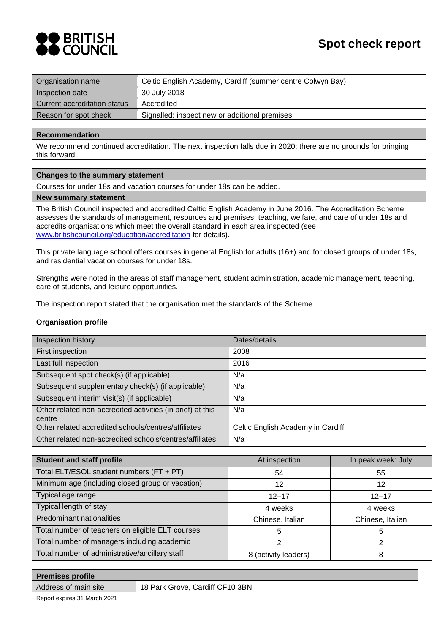

| Organisation name            | Celtic English Academy, Cardiff (summer centre Colwyn Bay) |
|------------------------------|------------------------------------------------------------|
| Inspection date              | 30 July 2018                                               |
| Current accreditation status | Accredited                                                 |
| Reason for spot check        | Signalled: inspect new or additional premises              |

#### **Recommendation**

We recommend continued accreditation. The next inspection falls due in 2020; there are no grounds for bringing this forward.

### **Changes to the summary statement**

Courses for under 18s and vacation courses for under 18s can be added.

#### **New summary statement**

The British Council inspected and accredited Celtic English Academy in June 2016. The Accreditation Scheme assesses the standards of management, resources and premises, teaching, welfare, and care of under 18s and accredits organisations which meet the overall standard in each area inspected (see [www.britishcouncil.org/education/accreditation](http://www.britishcouncil.org/education/accreditation) for details).

This private language school offers courses in general English for adults (16+) and for closed groups of under 18s, and residential vacation courses for under 18s.

Strengths were noted in the areas of staff management, student administration, academic management, teaching, care of students, and leisure opportunities.

The inspection report stated that the organisation met the standards of the Scheme.

### **Organisation profile**

| Inspection history                                                   | Dates/details                     |
|----------------------------------------------------------------------|-----------------------------------|
| First inspection                                                     | 2008                              |
| Last full inspection                                                 | 2016                              |
| Subsequent spot check(s) (if applicable)                             | N/a                               |
| Subsequent supplementary check(s) (if applicable)                    | N/a                               |
| Subsequent interim visit(s) (if applicable)                          | N/a                               |
| Other related non-accredited activities (in brief) at this<br>centre | N/a                               |
| Other related accredited schools/centres/affiliates                  | Celtic English Academy in Cardiff |
| Other related non-accredited schools/centres/affiliates              | N/a                               |

| <b>Student and staff profile</b>                 | At inspection        | In peak week: July |
|--------------------------------------------------|----------------------|--------------------|
| Total ELT/ESOL student numbers (FT + PT)         | 54                   | 55                 |
| Minimum age (including closed group or vacation) | 12                   | 12                 |
| Typical age range                                | $12 - 17$            | $12 - 17$          |
| Typical length of stay                           | 4 weeks              | 4 weeks            |
| Predominant nationalities                        | Chinese, Italian     | Chinese, Italian   |
| Total number of teachers on eligible ELT courses | 5                    | 5                  |
| Total number of managers including academic      | 2                    |                    |
| Total number of administrative/ancillary staff   | 8 (activity leaders) |                    |

# **Premises profile**

Address of main site | 18 Park Grove, Cardiff CF10 3BN

Report expires 31 March 2021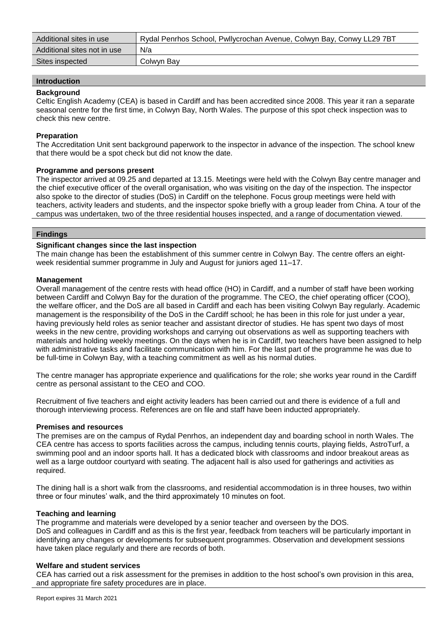| Additional sites in use     | Rydal Penrhos School, Pwllycrochan Avenue, Colwyn Bay, Conwy LL29 7BT |
|-----------------------------|-----------------------------------------------------------------------|
| Additional sites not in use | N/a                                                                   |
| Sites inspected             | Colwyn Bay                                                            |

# **Introduction**

#### **Background**

Celtic English Academy (CEA) is based in Cardiff and has been accredited since 2008. This year it ran a separate seasonal centre for the first time, in Colwyn Bay, North Wales. The purpose of this spot check inspection was to check this new centre.

### **Preparation**

The Accreditation Unit sent background paperwork to the inspector in advance of the inspection. The school knew that there would be a spot check but did not know the date.

#### **Programme and persons present**

The inspector arrived at 09.25 and departed at 13.15. Meetings were held with the Colwyn Bay centre manager and the chief executive officer of the overall organisation, who was visiting on the day of the inspection. The inspector also spoke to the director of studies (DoS) in Cardiff on the telephone. Focus group meetings were held with teachers, activity leaders and students, and the inspector spoke briefly with a group leader from China. A tour of the campus was undertaken, two of the three residential houses inspected, and a range of documentation viewed.

#### **Findings**

### **Significant changes since the last inspection**

The main change has been the establishment of this summer centre in Colwyn Bay. The centre offers an eightweek residential summer programme in July and August for juniors aged 11–17.

### **Management**

Overall management of the centre rests with head office (HO) in Cardiff, and a number of staff have been working between Cardiff and Colwyn Bay for the duration of the programme. The CEO, the chief operating officer (COO), the welfare officer, and the DoS are all based in Cardiff and each has been visiting Colwyn Bay regularly. Academic management is the responsibility of the DoS in the Cardiff school; he has been in this role for just under a year, having previously held roles as senior teacher and assistant director of studies. He has spent two days of most weeks in the new centre, providing workshops and carrying out observations as well as supporting teachers with materials and holding weekly meetings. On the days when he is in Cardiff, two teachers have been assigned to help with administrative tasks and facilitate communication with him. For the last part of the programme he was due to be full-time in Colwyn Bay, with a teaching commitment as well as his normal duties.

The centre manager has appropriate experience and qualifications for the role; she works year round in the Cardiff centre as personal assistant to the CEO and COO.

Recruitment of five teachers and eight activity leaders has been carried out and there is evidence of a full and thorough interviewing process. References are on file and staff have been inducted appropriately.

#### **Premises and resources**

The premises are on the campus of Rydal Penrhos, an independent day and boarding school in north Wales. The CEA centre has access to sports facilities across the campus, including tennis courts, playing fields, AstroTurf, a swimming pool and an indoor sports hall. It has a dedicated block with classrooms and indoor breakout areas as well as a large outdoor courtyard with seating. The adjacent hall is also used for gatherings and activities as required.

The dining hall is a short walk from the classrooms, and residential accommodation is in three houses, two within three or four minutes' walk, and the third approximately 10 minutes on foot.

#### **Teaching and learning**

The programme and materials were developed by a senior teacher and overseen by the DOS. DoS and colleagues in Cardiff and as this is the first year, feedback from teachers will be particularly important in identifying any changes or developments for subsequent programmes. Observation and development sessions have taken place regularly and there are records of both.

#### **Welfare and student services**

CEA has carried out a risk assessment for the premises in addition to the host school's own provision in this area, and appropriate fire safety procedures are in place.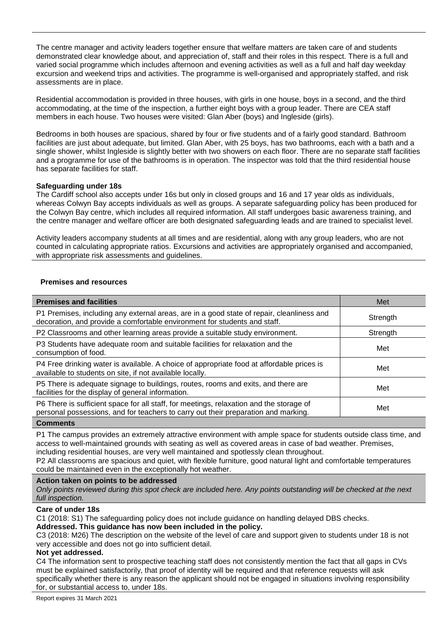The centre manager and activity leaders together ensure that welfare matters are taken care of and students demonstrated clear knowledge about, and appreciation of, staff and their roles in this respect. There is a full and varied social programme which includes afternoon and evening activities as well as a full and half day weekday excursion and weekend trips and activities. The programme is well-organised and appropriately staffed, and risk assessments are in place.

Residential accommodation is provided in three houses, with girls in one house, boys in a second, and the third accommodating, at the time of the inspection, a further eight boys with a group leader. There are CEA staff members in each house. Two houses were visited: Glan Aber (boys) and Ingleside (girls).

Bedrooms in both houses are spacious, shared by four or five students and of a fairly good standard. Bathroom facilities are just about adequate, but limited. Glan Aber, with 25 boys, has two bathrooms, each with a bath and a single shower, whilst Ingleside is slightly better with two showers on each floor. There are no separate staff facilities and a programme for use of the bathrooms is in operation. The inspector was told that the third residential house has separate facilities for staff.

# **Safeguarding under 18s**

The Cardiff school also accepts under 16s but only in closed groups and 16 and 17 year olds as individuals, whereas Colwyn Bay accepts individuals as well as groups. A separate safeguarding policy has been produced for the Colwyn Bay centre, which includes all required information. All staff undergoes basic awareness training, and the centre manager and welfare officer are both designated safeguarding leads and are trained to specialist level.

Activity leaders accompany students at all times and are residential, along with any group leaders, who are not counted in calculating appropriate ratios. Excursions and activities are appropriately organised and accompanied, with appropriate risk assessments and guidelines.

# **Premises and resources**

| <b>Premises and facilities</b>                                                                                                                                                | Met      |
|-------------------------------------------------------------------------------------------------------------------------------------------------------------------------------|----------|
| P1 Premises, including any external areas, are in a good state of repair, cleanliness and<br>decoration, and provide a comfortable environment for students and staff.        | Strength |
| P2 Classrooms and other learning areas provide a suitable study environment.                                                                                                  | Strength |
| P3 Students have adequate room and suitable facilities for relaxation and the<br>consumption of food.                                                                         | Met      |
| P4 Free drinking water is available. A choice of appropriate food at affordable prices is<br>available to students on site, if not available locally.                         | Met      |
| P5 There is adequate signage to buildings, routes, rooms and exits, and there are<br>facilities for the display of general information.                                       | Met      |
| P6 There is sufficient space for all staff, for meetings, relaxation and the storage of<br>personal possessions, and for teachers to carry out their preparation and marking. | Met      |

#### **Comments**

P1 The campus provides an extremely attractive environment with ample space for students outside class time, and access to well-maintained grounds with seating as well as covered areas in case of bad weather. Premises, including residential houses, are very well maintained and spotlessly clean throughout.

P2 All classrooms are spacious and quiet, with flexible furniture, good natural light and comfortable temperatures could be maintained even in the exceptionally hot weather.

# **Action taken on points to be addressed**

*Only points reviewed during this spot check are included here. Any points outstanding will be checked at the next full inspection.*

# **Care of under 18s**

C1 (2018: S1) The safeguarding policy does not include guidance on handling delayed DBS checks.

# **Addressed. This guidance has now been included in the policy.**

C3 (2018: M26) The description on the website of the level of care and support given to students under 18 is not very accessible and does not go into sufficient detail.

# **Not yet addressed.**

C4 The information sent to prospective teaching staff does not consistently mention the fact that all gaps in CVs must be explained satisfactorily, that proof of identity will be required and that reference requests will ask specifically whether there is any reason the applicant should not be engaged in situations involving responsibility for, or substantial access to, under 18s.